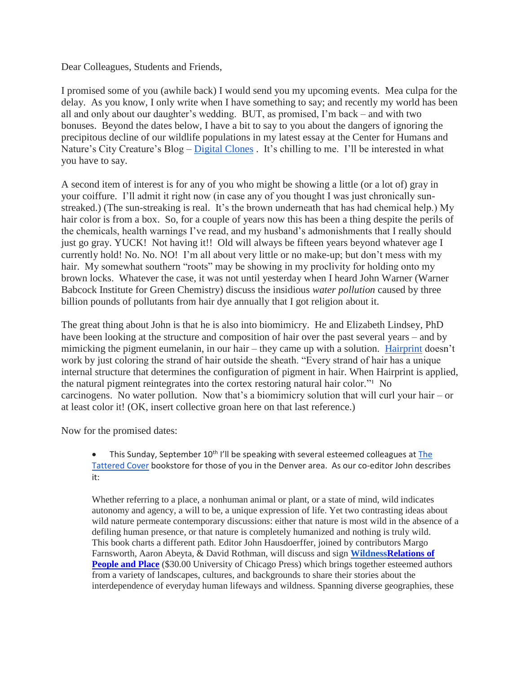Dear Colleagues, Students and Friends,

I promised some of you (awhile back) I would send you my upcoming events. Mea culpa for the delay. As you know, I only write when I have something to say; and recently my world has been all and only about our daughter's wedding. BUT, as promised, I'm back – and with two bonuses. Beyond the dates below, I have a bit to say to you about the dangers of ignoring the precipitous decline of our wildlife populations in my latest essay at the Center for Humans and Nature's City Creature's Blog – [Digital Clones](https://www.humansandnature.org/digital-clones) . It's chilling to me. I'll be interested in what you have to say.

A second item of interest is for any of you who might be showing a little (or a lot of) gray in your coiffure. I'll admit it right now (in case any of you thought I was just chronically sunstreaked.) (The sun-streaking is real. It's the brown underneath that has had chemical help.) My hair color is from a box. So, for a couple of years now this has been a thing despite the perils of the chemicals, health warnings I've read, and my husband's admonishments that I really should just go gray. YUCK! Not having it!! Old will always be fifteen years beyond whatever age I currently hold! No. No. NO! I'm all about very little or no make-up; but don't mess with my hair. My somewhat southern "roots" may be showing in my proclivity for holding onto my brown locks. Whatever the case, it was not until yesterday when I heard John Warner (Warner Babcock Institute for Green Chemistry) discuss the insidious *water pollution* caused by three billion pounds of pollutants from hair dye annually that I got religion about it.

The great thing about John is that he is also into biomimicry. He and Elizabeth Lindsey, PhD have been looking at the structure and composition of hair over the past several years – and by mimicking the pigment eumelanin, in our hair – they came up with a solution. [Hairprint](https://www.myhairprint.com/) doesn't work by just coloring the strand of hair outside the sheath. "Every strand of hair has a unique internal structure that determines the configuration of pigment in hair. When Hairprint is applied, the natural pigment reintegrates into the cortex restoring natural hair color." $\sim$ No carcinogens. No water pollution. Now that's a biomimicry solution that will curl your hair – or at least color it! (OK, insert collective groan here on that last reference.)

Now for the promised dates:

 $\bullet$  This Sunday, September 10<sup>th</sup> I'll be speaking with several esteemed colleagues at The [Tattered Cover](http://www.tatteredcover.com/new-event-calendar#event-id-135284) bookstore for those of you in the Denver area. As our co-editor John describes it:

Whether referring to a place, a nonhuman animal or plant, or a state of mind, wild indicates autonomy and agency, a will to be, a unique expression of life. Yet two contrasting ideas about wild nature permeate contemporary discussions: either that nature is most wild in the absence of a defiling human presence, or that nature is completely humanized and nothing is truly wild. This book charts a different path. Editor John Hausdoerffer, joined by contributors Margo Farnsworth, Aaron Abeyta, & David Rothman, will discuss and sign **[WildnessR](http://www.tatteredcover.com/book/9780226444833)elations of People and Place** (\$30.00 University of Chicago Press) which brings together esteemed authors from a variety of landscapes, cultures, and backgrounds to share their stories about the interdependence of everyday human lifeways and wildness. Spanning diverse geographies, these